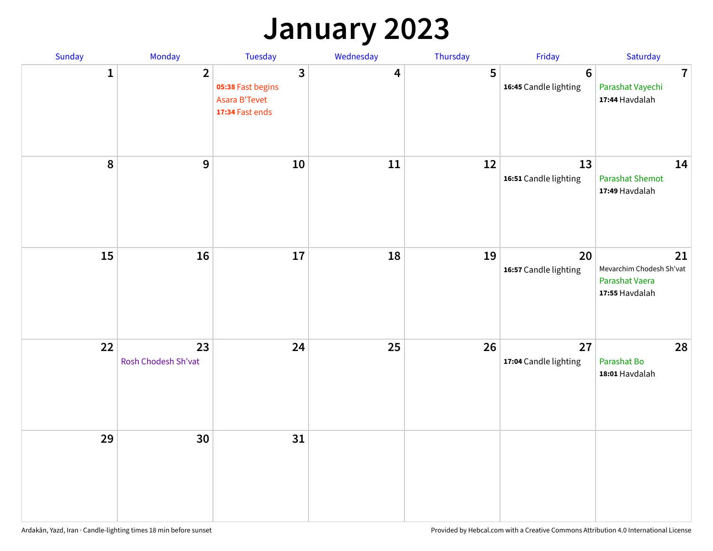## **January 2023**

| Sunday       | Monday                    | Tuesday                                                                 | Wednesday | Thursday | Friday                                   | Saturday                                                           |
|--------------|---------------------------|-------------------------------------------------------------------------|-----------|----------|------------------------------------------|--------------------------------------------------------------------|
| $\mathbf{1}$ | $\overline{2}$            | $\overline{3}$<br>05:38 Fast begins<br>Asara B'Tevet<br>17:34 Fast ends | 4         | 5        | $6\phantom{1}6$<br>16:45 Candle lighting | $\overline{7}$<br>Parashat Vayechi<br>17:44 Havdalah               |
| 8            | $\mathbf{9}$              | $10\,$                                                                  | 11        | 12       | 13<br>16:51 Candle lighting              | 14<br><b>Parashat Shemot</b><br>17:49 Havdalah                     |
| 15           | 16                        | 17                                                                      | 18        | 19       | 20<br>16:57 Candle lighting              | 21<br>Mevarchim Chodesh Sh'vat<br>Parashat Vaera<br>17:55 Havdalah |
| 22           | 23<br>Rosh Chodesh Sh'vat | 24                                                                      | 25        | 26       | 27<br>17:04 Candle lighting              | 28<br>Parashat Bo<br>18:01 Havdalah                                |
| 29           | 30                        | 31                                                                      |           |          |                                          |                                                                    |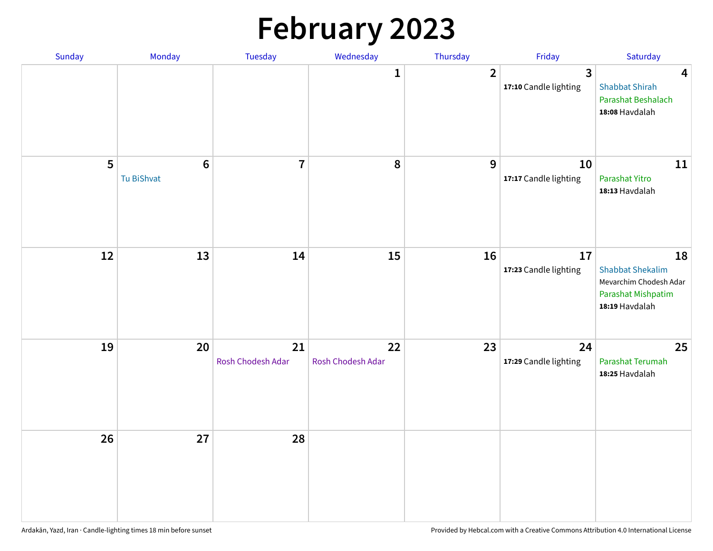# **February 2023**

| Sunday | Monday                        | Tuesday                 | Wednesday               | Thursday       | Friday                                  | Saturday                                                                                        |
|--------|-------------------------------|-------------------------|-------------------------|----------------|-----------------------------------------|-------------------------------------------------------------------------------------------------|
|        |                               |                         | $\mathbf{1}$            | $\overline{2}$ | $\overline{3}$<br>17:10 Candle lighting | $\overline{\mathbf{4}}$<br><b>Shabbat Shirah</b><br>Parashat Beshalach<br>18:08 Havdalah        |
| 5      | $6\phantom{1}6$<br>Tu BiShvat | $\overline{7}$          | 8                       | 9              | 10<br>17:17 Candle lighting             | 11<br>Parashat Yitro<br>18:13 Havdalah                                                          |
| 12     | 13                            | 14                      | 15                      | 16             | 17<br>17:23 Candle lighting             | 18<br><b>Shabbat Shekalim</b><br>Mevarchim Chodesh Adar<br>Parashat Mishpatim<br>18:19 Havdalah |
| 19     | 20                            | 21<br>Rosh Chodesh Adar | 22<br>Rosh Chodesh Adar | 23             | 24<br>17:29 Candle lighting             | 25<br>Parashat Terumah<br>18:25 Havdalah                                                        |
| 26     | 27                            | 28                      |                         |                |                                         |                                                                                                 |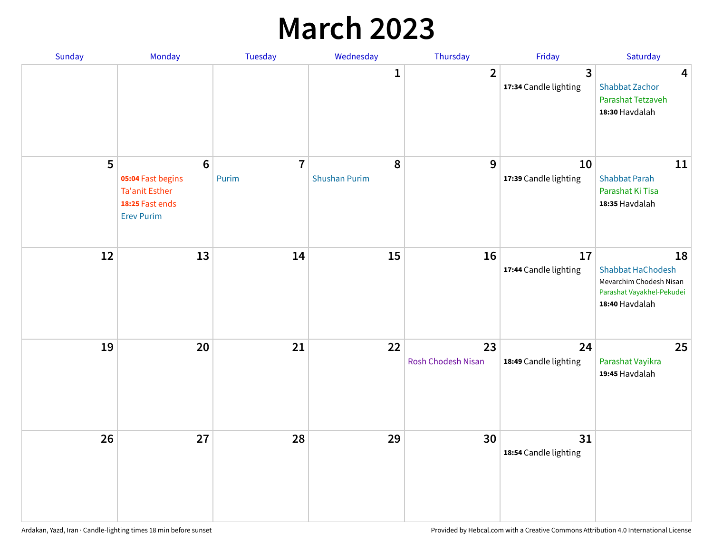## **March 2023**

| Sunday | Monday                                                                                                | Tuesday                 | Wednesday                 | Thursday                 | Friday                      | Saturday                                                                                                 |
|--------|-------------------------------------------------------------------------------------------------------|-------------------------|---------------------------|--------------------------|-----------------------------|----------------------------------------------------------------------------------------------------------|
|        |                                                                                                       |                         | 1                         | $\overline{2}$           | 3<br>17:34 Candle lighting  | $\overline{\mathbf{4}}$<br><b>Shabbat Zachor</b><br>Parashat Tetzaveh<br>18:30 Havdalah                  |
| 5      | $6\phantom{1}6$<br>05:04 Fast begins<br><b>Ta'anit Esther</b><br>18:25 Fast ends<br><b>Erev Purim</b> | $\overline{7}$<br>Purim | 8<br><b>Shushan Purim</b> | 9                        | 10<br>17:39 Candle lighting | 11<br><b>Shabbat Parah</b><br>Parashat Ki Tisa<br>18:35 Havdalah                                         |
| 12     | 13                                                                                                    | 14                      | 15                        | 16                       | 17<br>17:44 Candle lighting | 18<br><b>Shabbat HaChodesh</b><br>Mevarchim Chodesh Nisan<br>Parashat Vayakhel-Pekudei<br>18:40 Havdalah |
| 19     | 20                                                                                                    | 21                      | 22                        | 23<br>Rosh Chodesh Nisan | 24<br>18:49 Candle lighting | 25<br>Parashat Vayikra<br>19:45 Havdalah                                                                 |
| 26     | 27                                                                                                    | 28                      | 29                        | 30                       | 31<br>18:54 Candle lighting |                                                                                                          |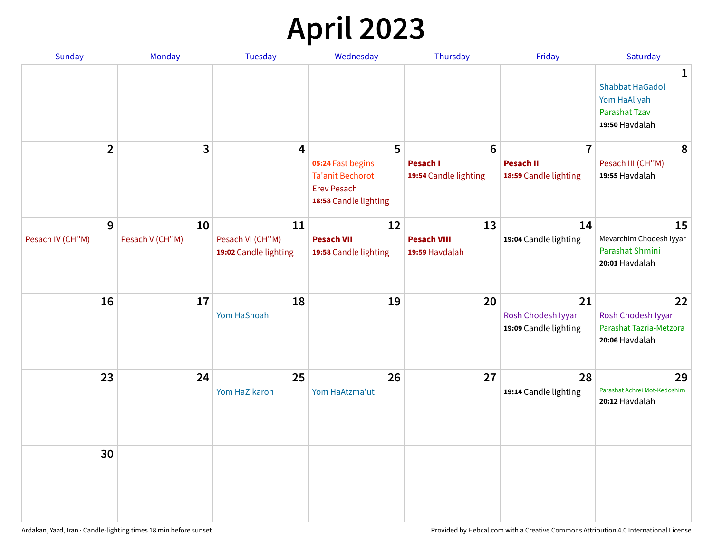# **April 2023**

| Sunday           | Monday          | <b>Tuesday</b>                            | Wednesday                                                                                   | Thursday                                 | Friday                                            | Saturday                                                                                 |
|------------------|-----------------|-------------------------------------------|---------------------------------------------------------------------------------------------|------------------------------------------|---------------------------------------------------|------------------------------------------------------------------------------------------|
|                  |                 |                                           |                                                                                             |                                          |                                                   | $\mathbf 1$<br><b>Shabbat HaGadol</b><br>Yom HaAliyah<br>Parashat Tzav<br>19:50 Havdalah |
| $\overline{2}$   | 3               | 4                                         | 5                                                                                           | 6                                        | $\overline{7}$                                    | 8                                                                                        |
|                  |                 |                                           | 05:24 Fast begins<br><b>Ta'anit Bechorot</b><br><b>Erev Pesach</b><br>18:58 Candle lighting | <b>Pesach I</b><br>19:54 Candle lighting | <b>Pesach II</b><br>18:59 Candle lighting         | Pesach III (CH"M)<br>19:55 Havdalah                                                      |
| 9                | 10              | 11                                        | 12                                                                                          | 13                                       | 14                                                | 15                                                                                       |
| Pesach IV (CH"M) | Pesach V (CH"M) | Pesach VI (CH"M)<br>19:02 Candle lighting | <b>Pesach VII</b><br>19:58 Candle lighting                                                  | <b>Pesach VIII</b><br>19:59 Havdalah     | 19:04 Candle lighting                             | Mevarchim Chodesh Iyyar<br>Parashat Shmini<br>20:01 Havdalah                             |
| 16               | 17              | 18<br>Yom HaShoah                         | 19                                                                                          | 20                                       | 21<br>Rosh Chodesh Iyyar<br>19:09 Candle lighting | 22<br>Rosh Chodesh Iyyar<br>Parashat Tazria-Metzora<br>20:06 Havdalah                    |
| 23               | 24              | 25<br>Yom HaZikaron                       | 26<br>Yom HaAtzma'ut                                                                        | 27                                       | 28<br>19:14 Candle lighting                       | 29<br>Parashat Achrei Mot-Kedoshim<br>20:12 Havdalah                                     |
| 30               |                 |                                           |                                                                                             |                                          |                                                   |                                                                                          |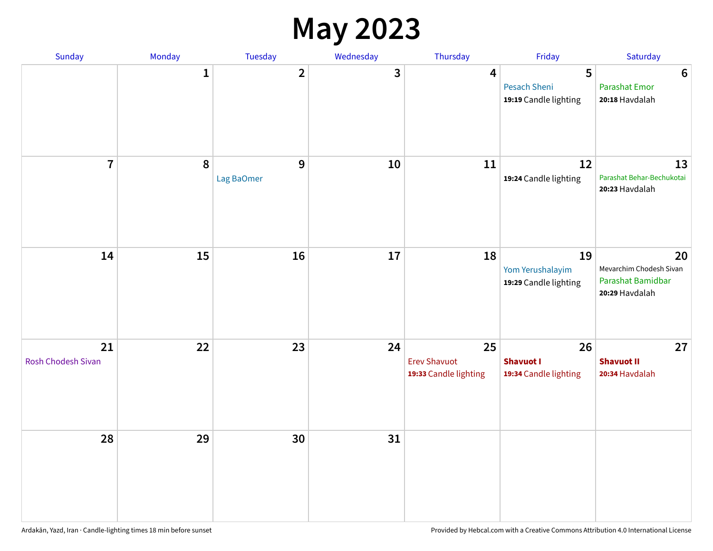## **May 2023**

| Sunday                   | Monday       | Tuesday                 | Wednesday    | Thursday                                           | Friday                                          | Saturday                                                             |
|--------------------------|--------------|-------------------------|--------------|----------------------------------------------------|-------------------------------------------------|----------------------------------------------------------------------|
|                          | $\mathbf{1}$ | $\overline{\mathbf{2}}$ | $\mathbf{3}$ | $\overline{\mathbf{4}}$                            | 5<br>Pesach Sheni<br>19:19 Candle lighting      | $\bf 6$<br><b>Parashat Emor</b><br>20:18 Havdalah                    |
| $\overline{7}$           | $\pmb{8}$    | 9<br>Lag BaOmer         | 10           | 11                                                 | 12<br>19:24 Candle lighting                     | 13<br>Parashat Behar-Bechukotai<br>20:23 Havdalah                    |
| 14                       | 15           | 16                      | 17           | 18                                                 | 19<br>Yom Yerushalayim<br>19:29 Candle lighting | 20<br>Mevarchim Chodesh Sivan<br>Parashat Bamidbar<br>20:29 Havdalah |
| 21<br>Rosh Chodesh Sivan | 22           | 23                      | 24           | 25<br><b>Erev Shavuot</b><br>19:33 Candle lighting | 26<br><b>Shavuot I</b><br>19:34 Candle lighting | 27<br><b>Shavuot II</b><br>20:34 Havdalah                            |
| 28                       | 29           | 30                      | 31           |                                                    |                                                 |                                                                      |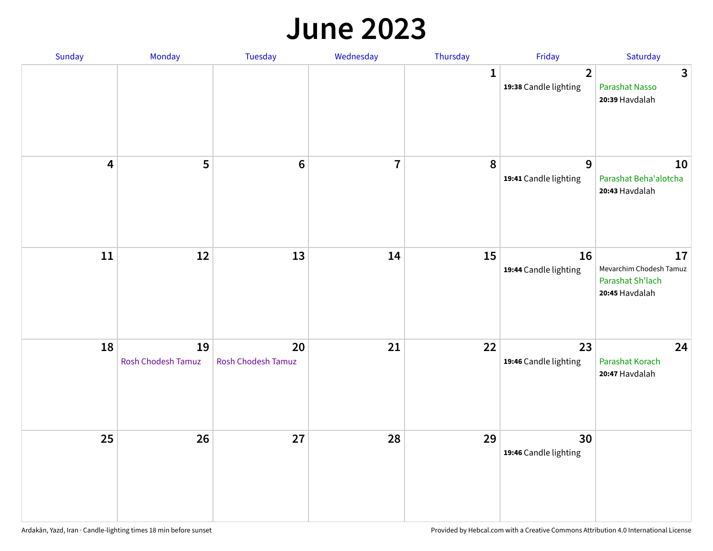#### **June 2023**

| Sunday                  | Monday                   | Tuesday                         | Wednesday      | Thursday | Friday                                  | Saturday                                                            |
|-------------------------|--------------------------|---------------------------------|----------------|----------|-----------------------------------------|---------------------------------------------------------------------|
|                         |                          |                                 |                | 1        | $\overline{2}$<br>19:38 Candle lighting | $\mathbf{3}$<br><b>Parashat Nasso</b><br>20:39 Havdalah             |
| $\overline{\mathbf{4}}$ | $\overline{\mathbf{5}}$  | $6\phantom{1}6$                 | $\overline{7}$ | 8        | 9<br>19:41 Candle lighting              | 10<br>Parashat Beha'alotcha<br>20:43 Havdalah                       |
| ${\bf 11}$              | 12                       | 13                              | 14             | 15       | 16<br>19:44 Candle lighting             | 17<br>Mevarchim Chodesh Tamuz<br>Parashat Sh'lach<br>20:45 Havdalah |
| 18                      | 19<br>Rosh Chodesh Tamuz | 20<br><b>Rosh Chodesh Tamuz</b> | 21             | 22       | 23<br>19:46 Candle lighting             | 24<br>Parashat Korach<br>20:47 Havdalah                             |
| 25                      | 26                       | 27                              | 28             | 29       | 30<br>19:46 Candle lighting             |                                                                     |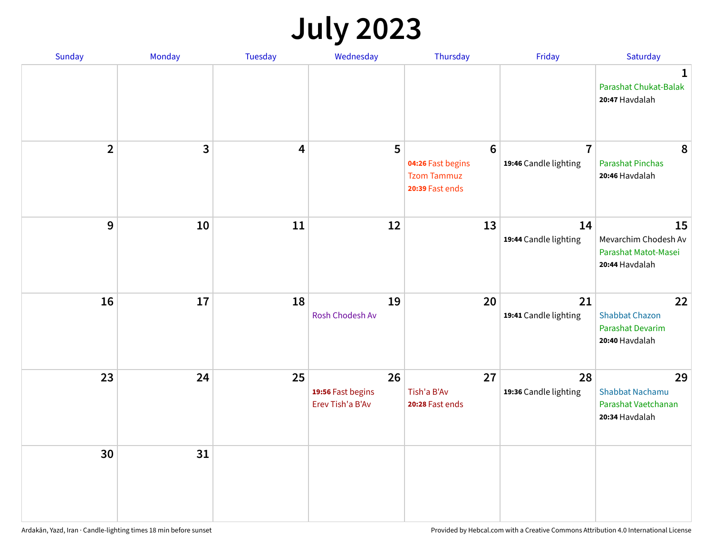# **July 2023**

| Sunday         | Monday       | <b>Tuesday</b>          | Wednesday                                   | Thursday                                                                      | Friday                                  | Saturday                                                             |
|----------------|--------------|-------------------------|---------------------------------------------|-------------------------------------------------------------------------------|-----------------------------------------|----------------------------------------------------------------------|
|                |              |                         |                                             |                                                                               |                                         | $\mathbf 1$<br>Parashat Chukat-Balak<br>20:47 Havdalah               |
| $\overline{2}$ | $\mathbf{3}$ | $\overline{\mathbf{4}}$ | 5                                           | $6\phantom{1}6$<br>04:26 Fast begins<br><b>Tzom Tammuz</b><br>20:39 Fast ends | $\overline{7}$<br>19:46 Candle lighting | 8<br><b>Parashat Pinchas</b><br>20:46 Havdalah                       |
| 9              | 10           | 11                      | 12                                          | 13                                                                            | 14<br>19:44 Candle lighting             | 15<br>Mevarchim Chodesh Av<br>Parashat Matot-Masei<br>20:44 Havdalah |
| 16             | 17           | 18                      | 19<br>Rosh Chodesh Av                       | 20                                                                            | 21<br>19:41 Candle lighting             | 22<br><b>Shabbat Chazon</b><br>Parashat Devarim<br>20:40 Havdalah    |
| 23             | 24           | 25                      | 26<br>19:56 Fast begins<br>Erev Tish'a B'Av | 27<br>Tish'a B'Av<br>20:28 Fast ends                                          | 28<br>19:36 Candle lighting             | 29<br>Shabbat Nachamu<br>Parashat Vaetchanan<br>20:34 Havdalah       |
| 30             | 31           |                         |                                             |                                                                               |                                         |                                                                      |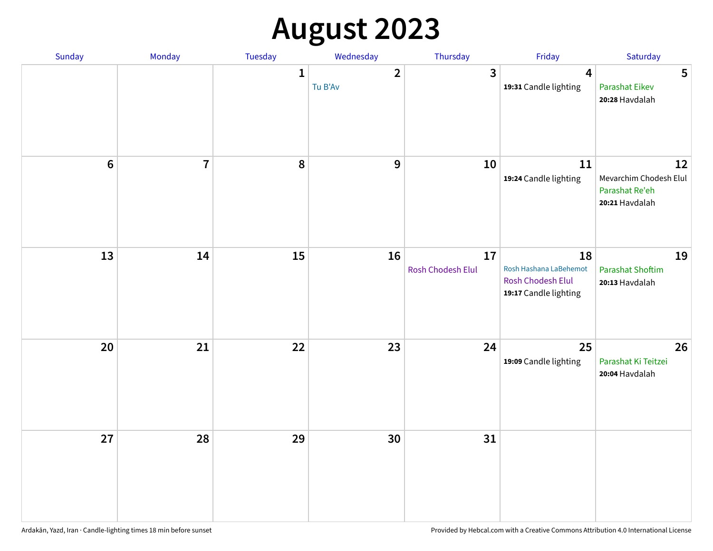# **August 2023**

| Sunday         | Monday         | Tuesday      | Wednesday               | Thursday                | Friday                                                                     | Saturday                                                         |
|----------------|----------------|--------------|-------------------------|-------------------------|----------------------------------------------------------------------------|------------------------------------------------------------------|
|                |                | $\mathbf{1}$ | $\mathbf{2}$<br>Tu B'Av | $\overline{3}$          | 4<br>19:31 Candle lighting                                                 | 5<br><b>Parashat Eikev</b><br>20:28 Havdalah                     |
| $6\phantom{1}$ | $\overline{7}$ | 8            | $\mathbf{9}$            | 10                      | 11<br>19:24 Candle lighting                                                | 12<br>Mevarchim Chodesh Elul<br>Parashat Re'eh<br>20:21 Havdalah |
| 13             | 14             | 15           | 16                      | 17<br>Rosh Chodesh Elul | 18<br>Rosh Hashana LaBehemot<br>Rosh Chodesh Elul<br>19:17 Candle lighting | 19<br><b>Parashat Shoftim</b><br>20:13 Havdalah                  |
| $20\,$         | 21             | 22           | 23                      | 24                      | 25<br>19:09 Candle lighting                                                | 26<br>Parashat Ki Teitzei<br>20:04 Havdalah                      |
| 27             | 28             | 29           | 30                      | 31                      |                                                                            |                                                                  |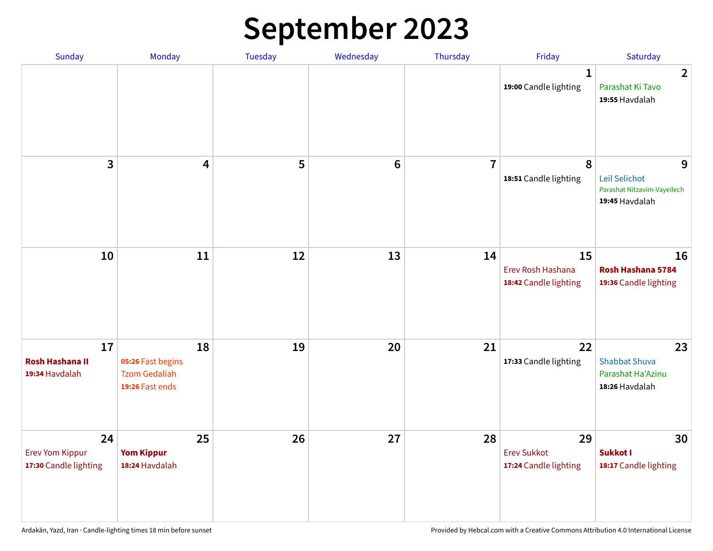# **September 2023**

| Sunday                                                | Monday                                                             | Tuesday | Wednesday       | Thursday       | Friday                                            | Saturday                                                            |
|-------------------------------------------------------|--------------------------------------------------------------------|---------|-----------------|----------------|---------------------------------------------------|---------------------------------------------------------------------|
|                                                       |                                                                    |         |                 |                | 1<br>19:00 Candle lighting                        | $\overline{2}$<br>Parashat Ki Tavo<br>19:55 Havdalah                |
| 3                                                     | $\overline{\mathbf{4}}$                                            | 5       | $6\phantom{1}6$ | $\overline{7}$ | 8<br>18:51 Candle lighting                        | 9<br>Leil Selichot<br>Parashat Nitzavim-Vayeilech<br>19:45 Havdalah |
| 10                                                    | 11                                                                 | 12      | 13              | 14             | 15<br>Erev Rosh Hashana<br>18:42 Candle lighting  | 16<br>Rosh Hashana 5784<br>19:36 Candle lighting                    |
| 17<br><b>Rosh Hashana II</b><br>19:34 Havdalah        | 18<br>05:26 Fast begins<br><b>Tzom Gedaliah</b><br>19:26 Fast ends | 19      | 20              | 21             | 22<br>17:33 Candle lighting                       | 23<br><b>Shabbat Shuva</b><br>Parashat Ha'Azinu<br>18:26 Havdalah   |
| 24<br><b>Erev Yom Kippur</b><br>17:30 Candle lighting | 25<br><b>Yom Kippur</b><br>18:24 Havdalah                          | 26      | 27              | 28             | 29<br><b>Erev Sukkot</b><br>17:24 Candle lighting | 30<br>Sukkot I<br>18:17 Candle lighting                             |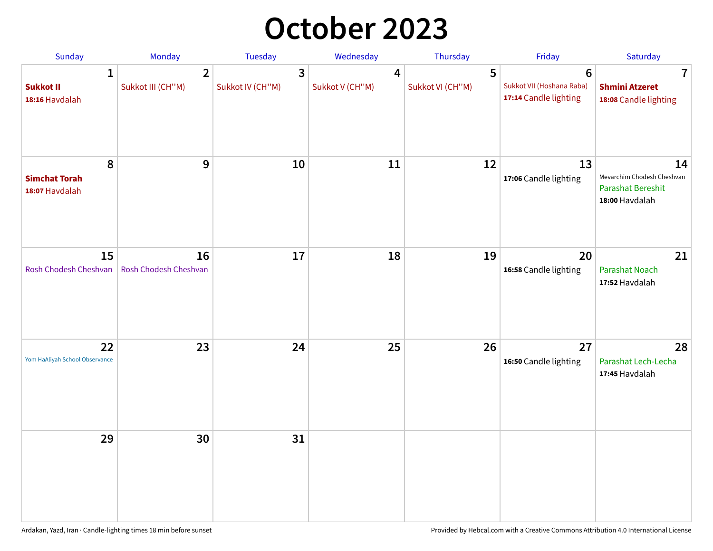## **October 2023**

| <b>Sunday</b>                                      | <b>Monday</b>                       | <b>Tuesday</b>        | Wednesday            | Thursday              | Friday                                                               | Saturday                                                                       |
|----------------------------------------------------|-------------------------------------|-----------------------|----------------------|-----------------------|----------------------------------------------------------------------|--------------------------------------------------------------------------------|
| $\mathbf{1}$<br><b>Sukkot II</b><br>18:16 Havdalah | $\overline{2}$<br>Sukkot III (CH"M) | 3<br>Sukkot IV (CH"M) | 4<br>Sukkot V (CH"M) | 5<br>Sukkot VI (CH"M) | $6\phantom{1}$<br>Sukkot VII (Hoshana Raba)<br>17:14 Candle lighting | 7<br><b>Shmini Atzeret</b><br>18:08 Candle lighting                            |
| 8<br><b>Simchat Torah</b><br>18:07 Havdalah        | $\boldsymbol{9}$                    | 10                    | 11                   | 12                    | 13<br>17:06 Candle lighting                                          | 14<br>Mevarchim Chodesh Cheshvan<br><b>Parashat Bereshit</b><br>18:00 Havdalah |
| 15<br>Rosh Chodesh Cheshvan                        | 16<br>Rosh Chodesh Cheshvan         | 17                    | 18                   | 19                    | 20<br>16:58 Candle lighting                                          | 21<br>Parashat Noach<br>17:52 Havdalah                                         |
| 22<br>Yom HaAliyah School Observance               | 23                                  | 24                    | 25                   | 26                    | 27<br>16:50 Candle lighting                                          | 28<br>Parashat Lech-Lecha<br>17:45 Havdalah                                    |
| 29                                                 | 30                                  | 31                    |                      |                       |                                                                      |                                                                                |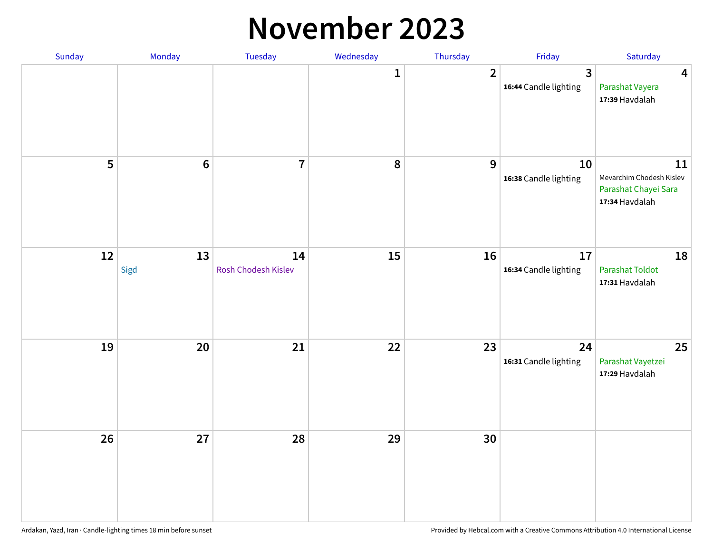#### **November 2023**

| Sunday | Monday          | Tuesday                   | Wednesday | Thursday       | Friday                                           | Saturday                                                                 |
|--------|-----------------|---------------------------|-----------|----------------|--------------------------------------------------|--------------------------------------------------------------------------|
|        |                 |                           | 1         | $\overline{2}$ | $\overline{\mathbf{3}}$<br>16:44 Candle lighting | $\overline{\mathbf{4}}$<br>Parashat Vayera<br>17:39 Havdalah             |
| 5      | $6\phantom{1}6$ | $\overline{1}$            | 8         | $9$            | 10<br>16:38 Candle lighting                      | 11<br>Mevarchim Chodesh Kislev<br>Parashat Chayei Sara<br>17:34 Havdalah |
| 12     | 13<br>Sigd      | 14<br>Rosh Chodesh Kislev | 15        | 16             | 17<br>16:34 Candle lighting                      | 18<br><b>Parashat Toldot</b><br>17:31 Havdalah                           |
| 19     | 20              | 21                        | 22        | 23             | 24<br>16:31 Candle lighting                      | 25<br>Parashat Vayetzei<br>17:29 Havdalah                                |
| 26     | 27              | 28                        | 29        | 30             |                                                  |                                                                          |